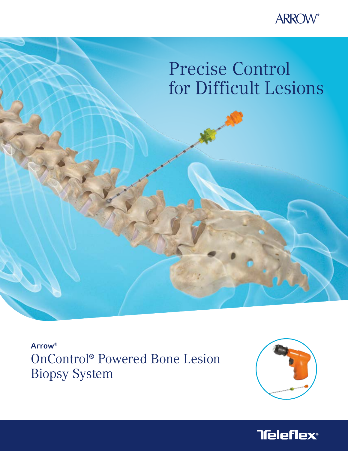

# Precise Control for Difficult Lesions

Arrow® OnControl® Powered Bone Lesion Biopsy System



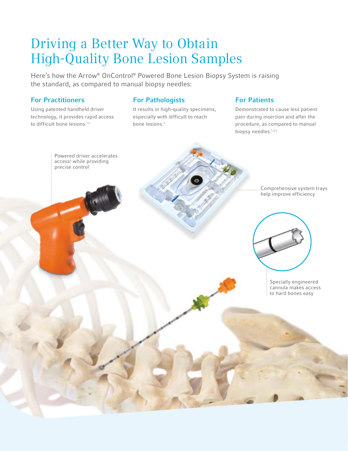## Driving a Better Way to Obtain High-Quality Bone Lesion Samples

Here's how the Arrow® OnControl® Powered Bone Lesion Biopsy System is raising the standard, as compared to manual biopsy needles:

#### For Practitioners

Using patented handheld driver technology, it provides rapid access to difficult bone lesions.<sup>1,2</sup>

#### For Pathologists

It results in high-quality specimens, especially with difficult to reach bone lesions.<sup>2</sup>

#### For Patients

Demonstrated to cause less patient pain during insertion and after the procedure, as compared to manual biopsy needles.<sup>1,3,5</sup>

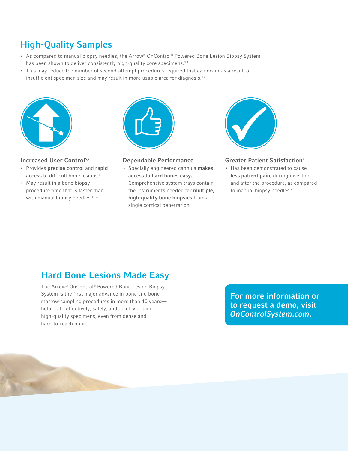### High-Quality Samples

- As compared to manual biopsy needles, the Arrow® OnControl® Powered Bone Lesion Biopsy System has been shown to deliver consistently high-quality core specimens.<sup>3,4</sup>
- This may reduce the number of second-attempt procedures required that can occur as a result of insufficient specimen size and may result in more usable area for diagnosis.<sup>3,4</sup>



#### Increased User Control<sup>5,7</sup>

- Provides precise control and rapid access to difficult bone lesions.<sup>5</sup>
- May result in a bone biopsy procedure time that is faster than with manual biopsy needles.<sup>1,3,6</sup>



#### Dependable Performance

- Specially engineered cannula makes access to hard bones easy.
- Comprehensive system trays contain the instruments needed for multiple, high-quality bone biopsies from a single cortical penetration.



#### Greater Patient Satisfaction4

• Has been demonstrated to cause less patient pain, during insertion and after the procedure, as compared to manual biopsy needles.<sup>6</sup>

### Hard Bone Lesions Made Easy

The Arrow® OnControl® Powered Bone Lesion Biopsy System is the first major advance in bone and bone marrow sampling procedures in more than 40 years helping to effectively, safely, and quickly obtain high-quality specimens, even from dense and hard-to-reach bone.

For more information or to request a demo, visit OnControlSystem.com.